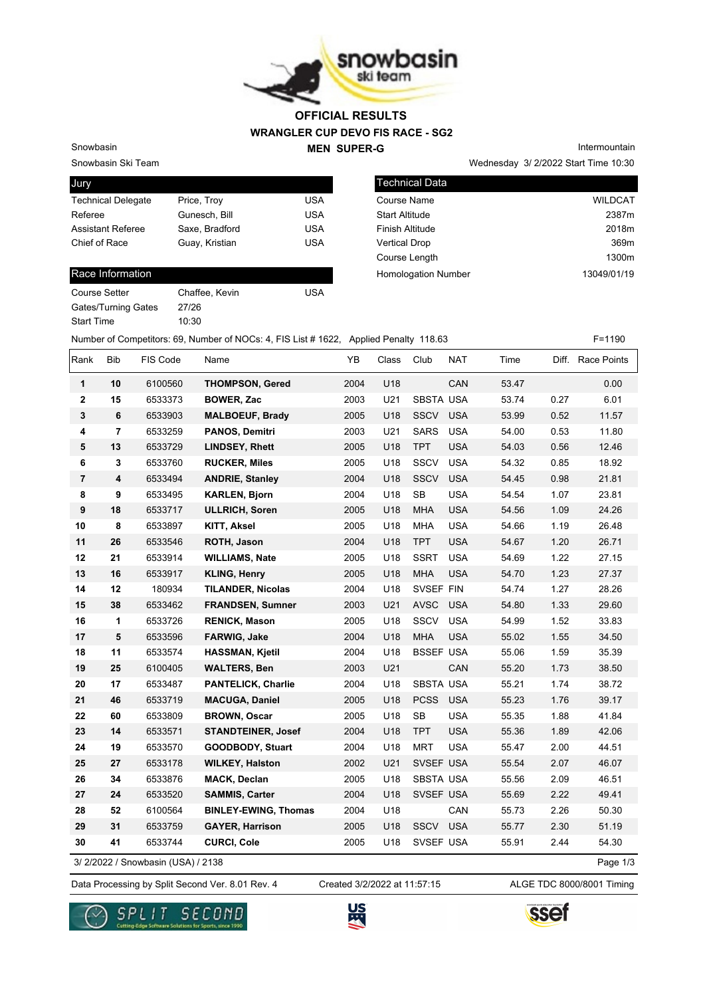

## **WRANGLER CUP DEVO FIS RACE - SG2 MEN SUPER-G OFFICIAL RESULTS**

Snowbasin

Snowbasin Ski Team

| Jury                      |                |            |
|---------------------------|----------------|------------|
| <b>Technical Delegate</b> | Price, Troy    | USA        |
| Referee                   | Gunesch, Bill  | <b>USA</b> |
| <b>Assistant Referee</b>  | Saxe, Bradford | USA        |
| Chief of Race             | Guay, Kristian | <b>USA</b> |
|                           |                |            |

#### Race Information

| Course Setter              | Chaff |
|----------------------------|-------|
| <b>Gates/Turning Gates</b> | 27/26 |
| <b>Start Time</b>          | 10:30 |

affee, Kevin **USA** 

Wednesday 3/ 2/2022 Start Time 10:30 Intermountain

| <b>Technical Data</b>      |                |
|----------------------------|----------------|
| Course Name                | <b>WILDCAT</b> |
| <b>Start Altitude</b>      | 2387m          |
| Finish Altitude            | 2018m          |
| <b>Vertical Drop</b>       | 369m           |
| Course Length              | 1300m          |
| <b>Homologation Number</b> | 13049/01/19    |
|                            |                |

Number of Competitors: 69, Number of NOCs: 4, FIS List # 1622, Applied Penalty 118.63 F=1190

| Rank           | Bib                     | FIS Code                           | Name                        | YB   | Class | Club             | <b>NAT</b> | Time  |      | Diff. Race Points |
|----------------|-------------------------|------------------------------------|-----------------------------|------|-------|------------------|------------|-------|------|-------------------|
| 1              | 10                      | 6100560                            | <b>THOMPSON, Gered</b>      | 2004 | U18   |                  | CAN        | 53.47 |      | 0.00              |
| 2              | 15                      | 6533373                            | <b>BOWER, Zac</b>           | 2003 | U21   | <b>SBSTA USA</b> |            | 53.74 | 0.27 | 6.01              |
| 3              | 6                       | 6533903                            | <b>MALBOEUF, Brady</b>      | 2005 | U18   | SSCV             | <b>USA</b> | 53.99 | 0.52 | 11.57             |
| 4              | $\overline{7}$          | 6533259                            | <b>PANOS, Demitri</b>       | 2003 | U21   | <b>SARS</b>      | <b>USA</b> | 54.00 | 0.53 | 11.80             |
| 5              | 13                      | 6533729                            | <b>LINDSEY, Rhett</b>       | 2005 | U18   | <b>TPT</b>       | <b>USA</b> | 54.03 | 0.56 | 12.46             |
| 6              | 3                       | 6533760                            | <b>RUCKER, Miles</b>        | 2005 | U18   | <b>SSCV</b>      | <b>USA</b> | 54.32 | 0.85 | 18.92             |
| $\overline{7}$ | $\overline{\mathbf{4}}$ | 6533494                            | <b>ANDRIE, Stanley</b>      | 2004 | U18   | <b>SSCV</b>      | <b>USA</b> | 54.45 | 0.98 | 21.81             |
| 8              | 9                       | 6533495                            | <b>KARLEN, Bjorn</b>        | 2004 | U18   | <b>SB</b>        | <b>USA</b> | 54.54 | 1.07 | 23.81             |
| 9              | 18                      | 6533717                            | <b>ULLRICH, Soren</b>       | 2005 | U18   | <b>MHA</b>       | <b>USA</b> | 54.56 | 1.09 | 24.26             |
| 10             | 8                       | 6533897                            | <b>KITT, Aksel</b>          | 2005 | U18   | <b>MHA</b>       | <b>USA</b> | 54.66 | 1.19 | 26.48             |
| 11             | 26                      | 6533546                            | ROTH, Jason                 | 2004 | U18   | <b>TPT</b>       | <b>USA</b> | 54.67 | 1.20 | 26.71             |
| 12             | 21                      | 6533914                            | <b>WILLIAMS, Nate</b>       | 2005 | U18   | <b>SSRT</b>      | <b>USA</b> | 54.69 | 1.22 | 27.15             |
| 13             | 16                      | 6533917                            | <b>KLING, Henry</b>         | 2005 | U18   | <b>MHA</b>       | <b>USA</b> | 54.70 | 1.23 | 27.37             |
| 14             | 12                      | 180934                             | <b>TILANDER, Nicolas</b>    | 2004 | U18   | SVSEF FIN        |            | 54.74 | 1.27 | 28.26             |
| 15             | 38                      | 6533462                            | <b>FRANDSEN, Sumner</b>     | 2003 | U21   | <b>AVSC</b>      | <b>USA</b> | 54.80 | 1.33 | 29.60             |
| 16             | 1                       | 6533726                            | <b>RENICK, Mason</b>        | 2005 | U18   | <b>SSCV</b>      | <b>USA</b> | 54.99 | 1.52 | 33.83             |
| 17             | 5                       | 6533596                            | FARWIG, Jake                | 2004 | U18   | <b>MHA</b>       | <b>USA</b> | 55.02 | 1.55 | 34.50             |
| 18             | 11                      | 6533574                            | <b>HASSMAN, Kjetil</b>      | 2004 | U18   | <b>BSSEF USA</b> |            | 55.06 | 1.59 | 35.39             |
| 19             | 25                      | 6100405                            | <b>WALTERS, Ben</b>         | 2003 | U21   |                  | CAN        | 55.20 | 1.73 | 38.50             |
| 20             | 17                      | 6533487                            | <b>PANTELICK, Charlie</b>   | 2004 | U18   | SBSTA USA        |            | 55.21 | 1.74 | 38.72             |
| 21             | 46                      | 6533719                            | <b>MACUGA, Daniel</b>       | 2005 | U18   | <b>PCSS</b>      | <b>USA</b> | 55.23 | 1.76 | 39.17             |
| 22             | 60                      | 6533809                            | <b>BROWN, Oscar</b>         | 2005 | U18   | SB               | <b>USA</b> | 55.35 | 1.88 | 41.84             |
| 23             | 14                      | 6533571                            | <b>STANDTEINER, Josef</b>   | 2004 | U18   | <b>TPT</b>       | <b>USA</b> | 55.36 | 1.89 | 42.06             |
| 24             | 19                      | 6533570                            | <b>GOODBODY, Stuart</b>     | 2004 | U18   | <b>MRT</b>       | <b>USA</b> | 55.47 | 2.00 | 44.51             |
| 25             | 27                      | 6533178                            | <b>WILKEY, Halston</b>      | 2002 | U21   | SVSEF USA        |            | 55.54 | 2.07 | 46.07             |
| 26             | 34                      | 6533876                            | <b>MACK, Declan</b>         | 2005 | U18   | <b>SBSTA USA</b> |            | 55.56 | 2.09 | 46.51             |
| 27             | 24                      | 6533520                            | <b>SAMMIS, Carter</b>       | 2004 | U18   | SVSEF USA        |            | 55.69 | 2.22 | 49.41             |
| 28             | 52                      | 6100564                            | <b>BINLEY-EWING, Thomas</b> | 2004 | U18   |                  | CAN        | 55.73 | 2.26 | 50.30             |
| 29             | 31                      | 6533759                            | <b>GAYER, Harrison</b>      | 2005 | U18   | SSCV             | <b>USA</b> | 55.77 | 2.30 | 51.19             |
| 30             | 41                      | 6533744                            | <b>CURCI, Cole</b>          | 2005 | U18   | SVSEF USA        |            | 55.91 | 2.44 | 54.30             |
|                |                         | 3/ 2/2022 / Snowbasin (USA) / 2138 |                             |      |       |                  |            |       |      | Page 1/3          |

Data Processing by Split Second Ver. 8.01 Rev. 4 Created 3/2/2022 at 11:57:15 ALGE TDC 8000/8001 Timing Created 3/2/2022 at 11:57:15





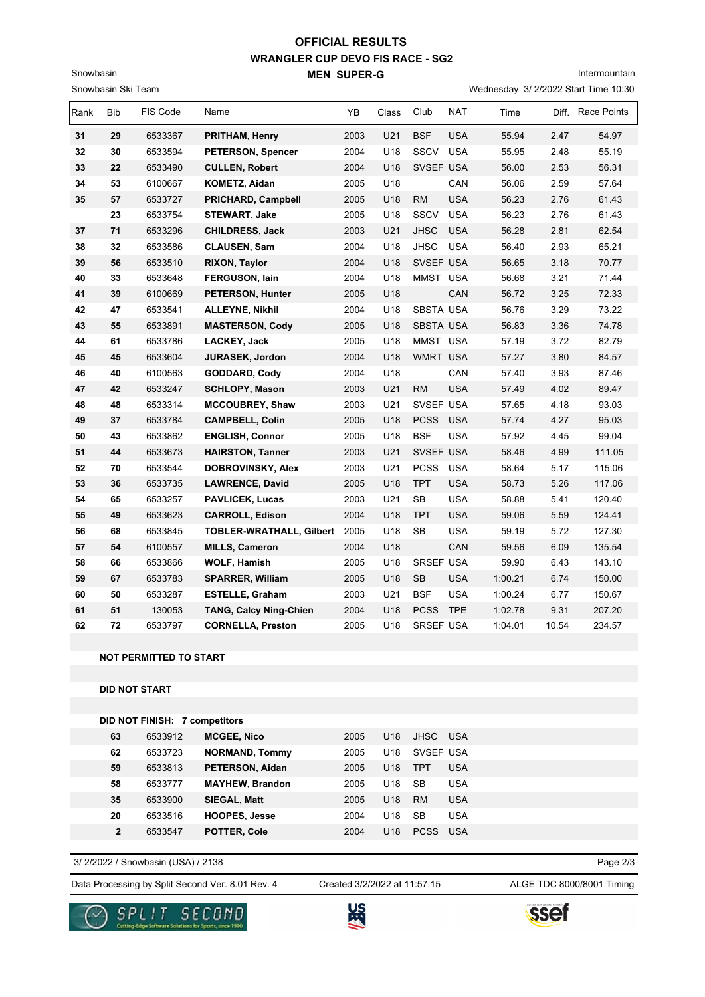## **WRANGLER CUP DEVO FIS RACE - SG2 MEN SUPER-G OFFICIAL RESULTS**

Snowbasin Ski Team

Snowbasin

## Intermountain

Wednesday 3/ 2/2022 Start Time 10:30

| Rank | Bib | FIS Code | Name                            | ΥB   | Class | Club             | <b>NAT</b> | Time    |       | Diff. Race Points |
|------|-----|----------|---------------------------------|------|-------|------------------|------------|---------|-------|-------------------|
| 31   | 29  | 6533367  | <b>PRITHAM, Henry</b>           | 2003 | U21   | <b>BSF</b>       | <b>USA</b> | 55.94   | 2.47  | 54.97             |
| 32   | 30  | 6533594  | <b>PETERSON, Spencer</b>        | 2004 | U18   | SSCV             | <b>USA</b> | 55.95   | 2.48  | 55.19             |
| 33   | 22  | 6533490  | <b>CULLEN, Robert</b>           | 2004 | U18   | SVSEF USA        |            | 56.00   | 2.53  | 56.31             |
| 34   | 53  | 6100667  | <b>KOMETZ, Aidan</b>            | 2005 | U18   |                  | CAN        | 56.06   | 2.59  | 57.64             |
| 35   | 57  | 6533727  | <b>PRICHARD, Campbell</b>       | 2005 | U18   | <b>RM</b>        | <b>USA</b> | 56.23   | 2.76  | 61.43             |
|      | 23  | 6533754  | STEWART, Jake                   | 2005 | U18   | <b>SSCV</b>      | <b>USA</b> | 56.23   | 2.76  | 61.43             |
| 37   | 71  | 6533296  | <b>CHILDRESS, Jack</b>          | 2003 | U21   | <b>JHSC</b>      | <b>USA</b> | 56.28   | 2.81  | 62.54             |
| 38   | 32  | 6533586  | <b>CLAUSEN, Sam</b>             | 2004 | U18   | <b>JHSC</b>      | <b>USA</b> | 56.40   | 2.93  | 65.21             |
| 39   | 56  | 6533510  | <b>RIXON, Taylor</b>            | 2004 | U18   | SVSEF USA        |            | 56.65   | 3.18  | 70.77             |
| 40   | 33  | 6533648  | FERGUSON, lain                  | 2004 | U18   | MMST USA         |            | 56.68   | 3.21  | 71.44             |
| 41   | 39  | 6100669  | <b>PETERSON, Hunter</b>         | 2005 | U18   |                  | CAN        | 56.72   | 3.25  | 72.33             |
| 42   | 47  | 6533541  | <b>ALLEYNE, Nikhil</b>          | 2004 | U18   | <b>SBSTA USA</b> |            | 56.76   | 3.29  | 73.22             |
| 43   | 55  | 6533891  | <b>MASTERSON, Cody</b>          | 2005 | U18   | <b>SBSTA USA</b> |            | 56.83   | 3.36  | 74.78             |
| 44   | 61  | 6533786  | LACKEY, Jack                    | 2005 | U18   | MMST USA         |            | 57.19   | 3.72  | 82.79             |
| 45   | 45  | 6533604  | <b>JURASEK, Jordon</b>          | 2004 | U18   | <b>WMRT USA</b>  |            | 57.27   | 3.80  | 84.57             |
| 46   | 40  | 6100563  | GODDARD, Cody                   | 2004 | U18   |                  | CAN        | 57.40   | 3.93  | 87.46             |
| 47   | 42  | 6533247  | <b>SCHLOPY, Mason</b>           | 2003 | U21   | <b>RM</b>        | <b>USA</b> | 57.49   | 4.02  | 89.47             |
| 48   | 48  | 6533314  | <b>MCCOUBREY, Shaw</b>          | 2003 | U21   | SVSEF USA        |            | 57.65   | 4.18  | 93.03             |
| 49   | 37  | 6533784  | <b>CAMPBELL, Colin</b>          | 2005 | U18   | <b>PCSS</b>      | <b>USA</b> | 57.74   | 4.27  | 95.03             |
| 50   | 43  | 6533862  | <b>ENGLISH, Connor</b>          | 2005 | U18   | <b>BSF</b>       | <b>USA</b> | 57.92   | 4.45  | 99.04             |
| 51   | 44  | 6533673  | <b>HAIRSTON, Tanner</b>         | 2003 | U21   | SVSEF USA        |            | 58.46   | 4.99  | 111.05            |
| 52   | 70  | 6533544  | DOBROVINSKY, Alex               | 2003 | U21   | <b>PCSS</b>      | <b>USA</b> | 58.64   | 5.17  | 115.06            |
| 53   | 36  | 6533735  | <b>LAWRENCE, David</b>          | 2005 | U18   | <b>TPT</b>       | <b>USA</b> | 58.73   | 5.26  | 117.06            |
| 54   | 65  | 6533257  | <b>PAVLICEK, Lucas</b>          | 2003 | U21   | <b>SB</b>        | <b>USA</b> | 58.88   | 5.41  | 120.40            |
| 55   | 49  | 6533623  | <b>CARROLL, Edison</b>          | 2004 | U18   | <b>TPT</b>       | <b>USA</b> | 59.06   | 5.59  | 124.41            |
| 56   | 68  | 6533845  | <b>TOBLER-WRATHALL, Gilbert</b> | 2005 | U18   | <b>SB</b>        | <b>USA</b> | 59.19   | 5.72  | 127.30            |
| 57   | 54  | 6100557  | <b>MILLS, Cameron</b>           | 2004 | U18   |                  | CAN        | 59.56   | 6.09  | 135.54            |
| 58   | 66  | 6533866  | <b>WOLF, Hamish</b>             | 2005 | U18   | SRSEF USA        |            | 59.90   | 6.43  | 143.10            |
| 59   | 67  | 6533783  | <b>SPARRER, William</b>         | 2005 | U18   | <b>SB</b>        | <b>USA</b> | 1:00.21 | 6.74  | 150.00            |
| 60   | 50  | 6533287  | <b>ESTELLE, Graham</b>          | 2003 | U21   | <b>BSF</b>       | <b>USA</b> | 1:00.24 | 6.77  | 150.67            |
| 61   | 51  | 130053   | <b>TANG, Calcy Ning-Chien</b>   | 2004 | U18   | <b>PCSS</b>      | <b>TPE</b> | 1:02.78 | 9.31  | 207.20            |
| 62   | 72  | 6533797  | <b>CORNELLA, Preston</b>        | 2005 | U18   | SRSEF USA        |            | 1:04.01 | 10.54 | 234.57            |

#### **NOT PERMITTED TO START**

#### **DID NOT START**

|              | <b>DID NOT FINISH: 7 competitors</b> |                        |      |                 |             |            |
|--------------|--------------------------------------|------------------------|------|-----------------|-------------|------------|
| 63           | 6533912                              | <b>MCGEE, Nico</b>     | 2005 | U <sub>18</sub> | JHSC USA    |            |
| 62           | 6533723                              | <b>NORMAND, Tommy</b>  | 2005 | U <sub>18</sub> | SVSEF USA   |            |
| 59           | 6533813                              | <b>PETERSON, Aidan</b> | 2005 | U <sub>18</sub> | <b>TPT</b>  | <b>USA</b> |
| 58           | 6533777                              | <b>MAYHEW, Brandon</b> | 2005 | U <sub>18</sub> | <b>SB</b>   | <b>USA</b> |
| 35           | 6533900                              | SIEGAL, Matt           | 2005 | U <sub>18</sub> | <b>RM</b>   | <b>USA</b> |
| 20           | 6533516                              | <b>HOOPES, Jesse</b>   | 2004 | U <sub>18</sub> | <b>SB</b>   | <b>USA</b> |
| $\mathbf{2}$ | 6533547                              | <b>POTTER, Cole</b>    | 2004 | U <sub>18</sub> | <b>PCSS</b> | <b>USA</b> |

3/ 2/2022 / Snowbasin (USA) / 2138

Data Processing by Split Second Ver. 8.01 Rev. 4 Created 3/2/2022 at 11:57:15 ALGE TDC 8000/8001 Timing

Created 3/2/2022 at 11:57:15

Page 2/3